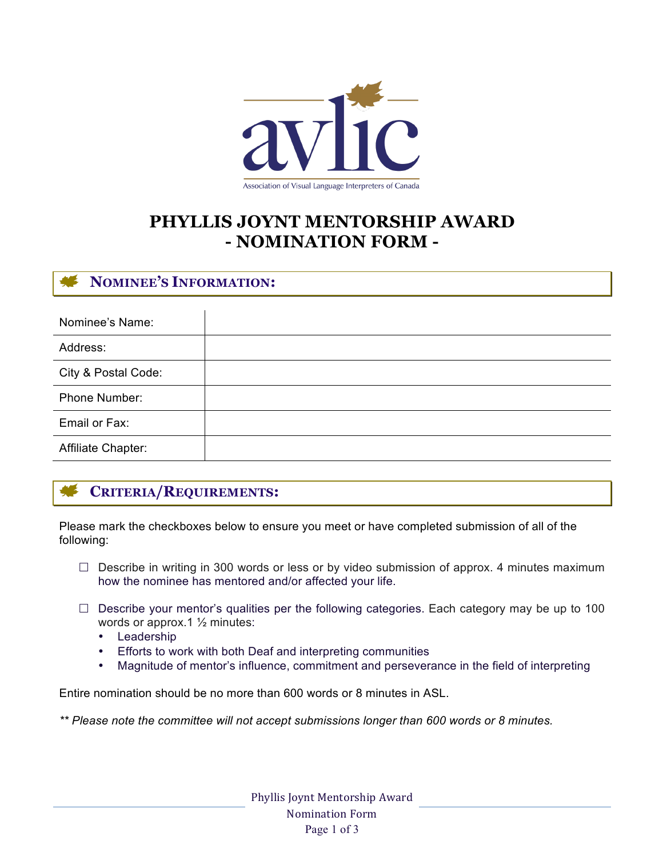

# **PHYLLIS JOYNT MENTORSHIP AWARD - NOMINATION FORM -**

### **NOMINEE'S INFORMATION:**

| Nominee's Name:     |  |
|---------------------|--|
| Address:            |  |
| City & Postal Code: |  |
| Phone Number:       |  |
| Email or Fax:       |  |
| Affiliate Chapter:  |  |

## **CRITERIA/REQUIREMENTS:**

Please mark the checkboxes below to ensure you meet or have completed submission of all of the following:

- $\Box$  Describe in writing in 300 words or less or by video submission of approx. 4 minutes maximum how the nominee has mentored and/or affected your life.
- $\Box$  Describe your mentor's qualities per the following categories. Each category may be up to 100 words or approx.1 ½ minutes:
	- Leadership
	- Efforts to work with both Deaf and interpreting communities
	- Magnitude of mentor's influence, commitment and perseverance in the field of interpreting

Entire nomination should be no more than 600 words or 8 minutes in ASL.

*\*\* Please note the committee will not accept submissions longer than 600 words or 8 minutes.*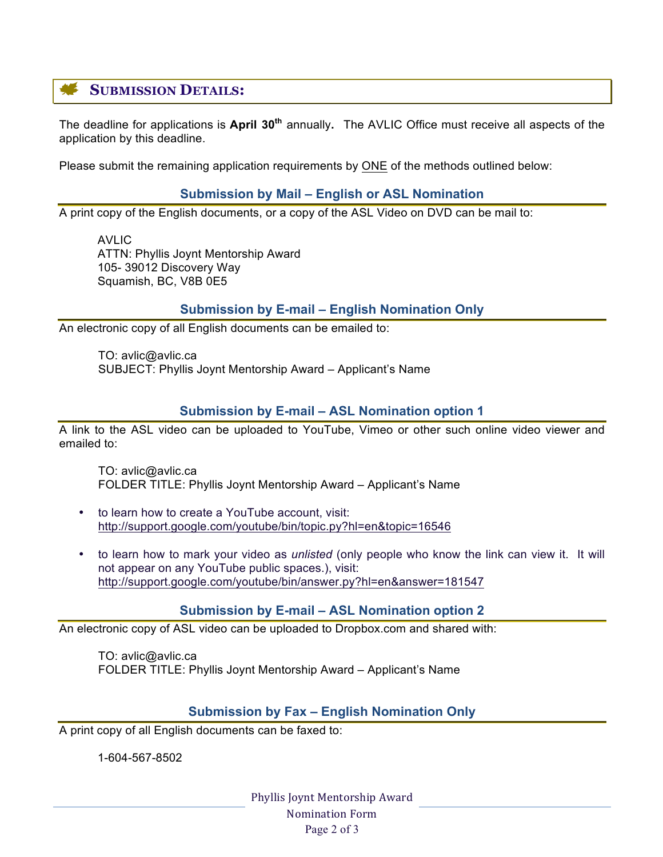### **SUBMISSION DETAILS:**

The deadline for applications is **April 30th** annually**.** The AVLIC Office must receive all aspects of the application by this deadline.

Please submit the remaining application requirements by ONE of the methods outlined below:

### **Submission by Mail – English or ASL Nomination**

A print copy of the English documents, or a copy of the ASL Video on DVD can be mail to:

AVLIC ATTN: Phyllis Joynt Mentorship Award 105- 39012 Discovery Way Squamish, BC, V8B 0E5

#### **Submission by E-mail – English Nomination Only**

An electronic copy of all English documents can be emailed to:

TO: avlic@avlic.ca SUBJECT: Phyllis Joynt Mentorship Award – Applicant's Name

#### **Submission by E-mail – ASL Nomination option 1**

A link to the ASL video can be uploaded to YouTube, Vimeo or other such online video viewer and emailed to:

TO: avlic@avlic.ca FOLDER TITLE: Phyllis Joynt Mentorship Award – Applicant's Name

- to learn how to create a YouTube account, visit: http://support.google.com/youtube/bin/topic.py?hl=en&topic=16546
- to learn how to mark your video as *unlisted* (only people who know the link can view it. It will not appear on any YouTube public spaces.), visit: http://support.google.com/youtube/bin/answer.py?hl=en&answer=181547

#### **Submission by E-mail – ASL Nomination option 2**

An electronic copy of ASL video can be uploaded to Dropbox.com and shared with:

TO: avlic@avlic.ca FOLDER TITLE: Phyllis Joynt Mentorship Award – Applicant's Name

#### **Submission by Fax – English Nomination Only**

A print copy of all English documents can be faxed to:

1-604-567-8502

Phyllis Joynt Mentorship Award Nomination Form Page 2 of 3